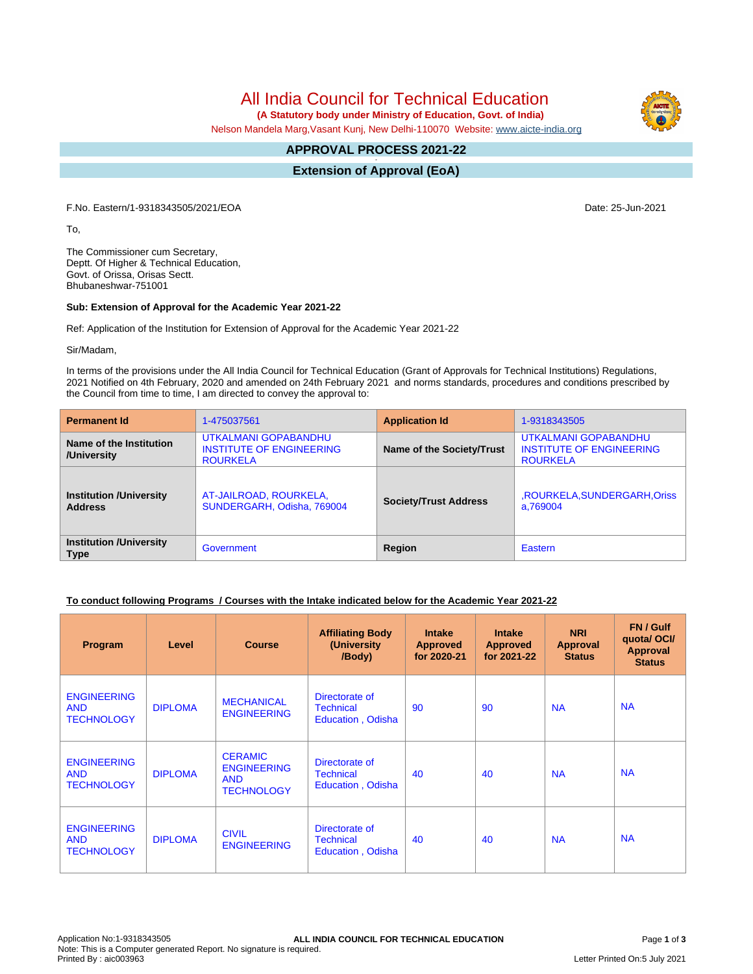All India Council for Technical Education

 **(A Statutory body under Ministry of Education, Govt. of India)**

Nelson Mandela Marg,Vasant Kunj, New Delhi-110070 Website: [www.aicte-india.org](http://www.aicte-india.org)

#### **APPROVAL PROCESS 2021-22 -**

**Extension of Approval (EoA)**

F.No. Eastern/1-9318343505/2021/EOA Date: 25-Jun-2021

To,

The Commissioner cum Secretary, Deptt. Of Higher & Technical Education, Govt. of Orissa, Orisas Sectt. Bhubaneshwar-751001

### **Sub: Extension of Approval for the Academic Year 2021-22**

Ref: Application of the Institution for Extension of Approval for the Academic Year 2021-22

Sir/Madam,

In terms of the provisions under the All India Council for Technical Education (Grant of Approvals for Technical Institutions) Regulations, 2021 Notified on 4th February, 2020 and amended on 24th February 2021 and norms standards, procedures and conditions prescribed by the Council from time to time, I am directed to convey the approval to:

| <b>Permanent Id</b>                              | 1-475037561                                                                | <b>Application Id</b>        | 1-9318343505                                                               |  |
|--------------------------------------------------|----------------------------------------------------------------------------|------------------------------|----------------------------------------------------------------------------|--|
| Name of the Institution<br>/University           | UTKALMANI GOPABANDHU<br><b>INSTITUTE OF ENGINEERING</b><br><b>ROURKELA</b> | Name of the Society/Trust    | UTKALMANI GOPABANDHU<br><b>INSTITUTE OF ENGINEERING</b><br><b>ROURKELA</b> |  |
| <b>Institution /University</b><br><b>Address</b> | AT-JAILROAD, ROURKELA,<br>SUNDERGARH, Odisha, 769004                       | <b>Society/Trust Address</b> | ,ROURKELA,SUNDERGARH,Oriss<br>a.769004                                     |  |
| <b>Institution /University</b><br><b>Type</b>    | Government                                                                 | Region                       | Eastern                                                                    |  |

## **To conduct following Programs / Courses with the Intake indicated below for the Academic Year 2021-22**

| Program                                               | Level          | <b>Course</b>                                                           | <b>Affiliating Body</b><br>(University<br>/Body)        | <b>Intake</b><br><b>Approved</b><br>for 2020-21 | <b>Intake</b><br><b>Approved</b><br>for 2021-22 | <b>NRI</b><br>Approval<br><b>Status</b> | FN / Gulf<br>quota/OCI/<br><b>Approval</b><br><b>Status</b> |
|-------------------------------------------------------|----------------|-------------------------------------------------------------------------|---------------------------------------------------------|-------------------------------------------------|-------------------------------------------------|-----------------------------------------|-------------------------------------------------------------|
| <b>ENGINEERING</b><br><b>AND</b><br><b>TECHNOLOGY</b> | <b>DIPLOMA</b> | <b>MECHANICAL</b><br><b>ENGINEERING</b>                                 | Directorate of<br><b>Technical</b><br>Education, Odisha | 90                                              | 90                                              | <b>NA</b>                               | <b>NA</b>                                                   |
| <b>ENGINEERING</b><br><b>AND</b><br><b>TECHNOLOGY</b> | <b>DIPLOMA</b> | <b>CERAMIC</b><br><b>ENGINEERING</b><br><b>AND</b><br><b>TECHNOLOGY</b> | Directorate of<br><b>Technical</b><br>Education, Odisha | 40                                              | 40                                              | <b>NA</b>                               | <b>NA</b>                                                   |
| <b>ENGINEERING</b><br><b>AND</b><br><b>TECHNOLOGY</b> | <b>DIPLOMA</b> | <b>CIVIL</b><br><b>ENGINEERING</b>                                      | Directorate of<br><b>Technical</b><br>Education, Odisha | 40                                              | 40                                              | <b>NA</b>                               | <b>NA</b>                                                   |

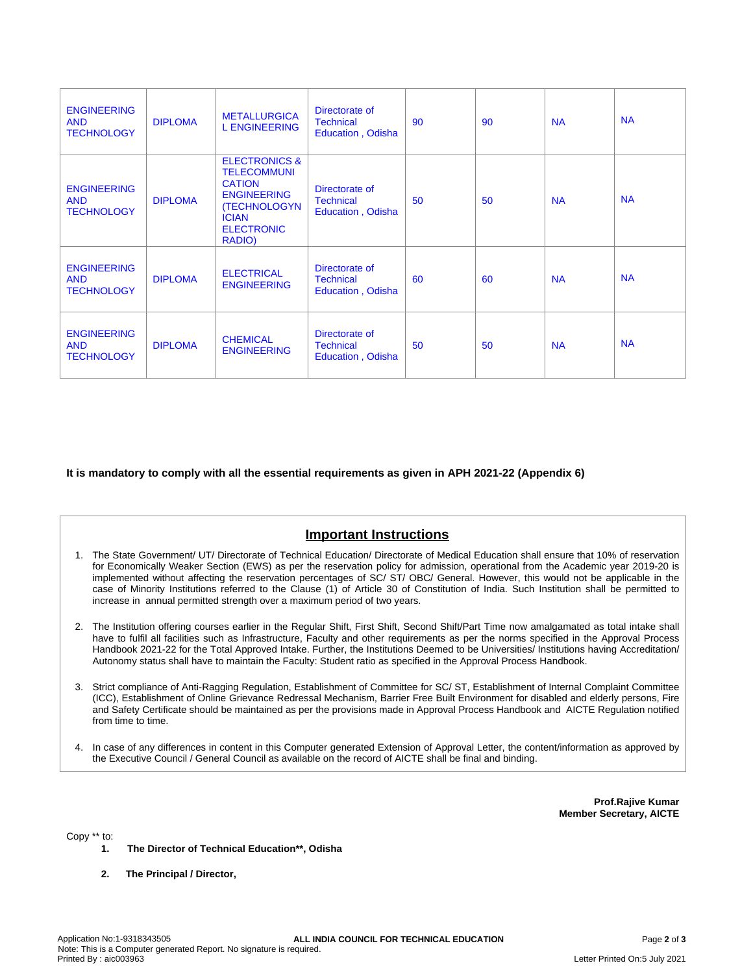| <b>ENGINEERING</b><br><b>AND</b><br><b>TECHNOLOGY</b> | <b>DIPLOMA</b> | <b>METALLURGICA</b><br><b>L ENGINEERING</b>                                                                                                          | Directorate of<br><b>Technical</b><br>Education, Odisha        | 90 | 90 | <b>NA</b> | <b>NA</b> |
|-------------------------------------------------------|----------------|------------------------------------------------------------------------------------------------------------------------------------------------------|----------------------------------------------------------------|----|----|-----------|-----------|
| <b>ENGINEERING</b><br><b>AND</b><br><b>TECHNOLOGY</b> | <b>DIPLOMA</b> | <b>ELECTRONICS &amp;</b><br><b>TELECOMMUNI</b><br><b>CATION</b><br><b>ENGINEERING</b><br>(TECHNOLOGYN<br><b>ICIAN</b><br><b>ELECTRONIC</b><br>RADIO) | Directorate of<br><b>Technical</b><br>Education, Odisha        | 50 | 50 | <b>NA</b> | <b>NA</b> |
| <b>ENGINEERING</b><br><b>AND</b><br><b>TECHNOLOGY</b> | <b>DIPLOMA</b> | <b>ELECTRICAL</b><br><b>ENGINEERING</b>                                                                                                              | Directorate of<br><b>Technical</b><br>Education, Odisha        | 60 | 60 | <b>NA</b> | <b>NA</b> |
| <b>ENGINEERING</b><br><b>AND</b><br><b>TECHNOLOGY</b> | <b>DIPLOMA</b> | <b>CHEMICAL</b><br><b>ENGINEERING</b>                                                                                                                | Directorate of<br><b>Technical</b><br><b>Education, Odisha</b> | 50 | 50 | <b>NA</b> | <b>NA</b> |

**It is mandatory to comply with all the essential requirements as given in APH 2021-22 (Appendix 6)**

# **Important Instructions**

- 1. The State Government/ UT/ Directorate of Technical Education/ Directorate of Medical Education shall ensure that 10% of reservation for Economically Weaker Section (EWS) as per the reservation policy for admission, operational from the Academic year 2019-20 is implemented without affecting the reservation percentages of SC/ ST/ OBC/ General. However, this would not be applicable in the case of Minority Institutions referred to the Clause (1) of Article 30 of Constitution of India. Such Institution shall be permitted to increase in annual permitted strength over a maximum period of two years.
- 2. The Institution offering courses earlier in the Regular Shift, First Shift, Second Shift/Part Time now amalgamated as total intake shall have to fulfil all facilities such as Infrastructure, Faculty and other requirements as per the norms specified in the Approval Process Handbook 2021-22 for the Total Approved Intake. Further, the Institutions Deemed to be Universities/ Institutions having Accreditation/ Autonomy status shall have to maintain the Faculty: Student ratio as specified in the Approval Process Handbook.
- 3. Strict compliance of Anti-Ragging Regulation, Establishment of Committee for SC/ ST, Establishment of Internal Complaint Committee (ICC), Establishment of Online Grievance Redressal Mechanism, Barrier Free Built Environment for disabled and elderly persons, Fire and Safety Certificate should be maintained as per the provisions made in Approval Process Handbook and AICTE Regulation notified from time to time.
- 4. In case of any differences in content in this Computer generated Extension of Approval Letter, the content/information as approved by the Executive Council / General Council as available on the record of AICTE shall be final and binding.

**Prof.Rajive Kumar Member Secretary, AICTE**

Copy \*\* to:

- **1. The Director of Technical Education\*\*, Odisha**
- **2. The Principal / Director,**